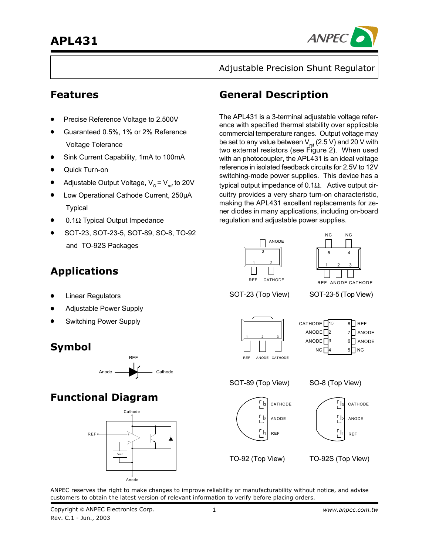

Adjustable Precision Shunt Regulator

- Precise Reference Voltage to 2.500V
- Guaranteed 0.5%, 1% or 2% Reference Voltage Tolerance
- Sink Current Capability, 1mA to 100mA
- Quick Turn-on
- Adjustable Output Voltage,  $V_0 = V_{ref}$  to 20V
- Low Operational Cathode Current, 250µA Typical
- 0.1Ω Typical Output Impedance
- SOT-23, SOT-23-5, SOT-89, SO-8, TO-92 and TO-92S Packages

# **Features General Description**

The APL431 is a 3-terminal adjustable voltage reference with specified thermal stability over applicable commercial temperature ranges. Output voltage may be set to any value between  $V_{ref}$  (2.5 V) and 20 V with two external resistors (see Figure 2). When used with an photocoupler, the APL431 is an ideal voltage reference in isolated feedback circuits for 2.5V to 12V switching-mode power supplies. This device has a typical output impedance of 0.1Ω. Active output circuitry provides a very sharp turn-on characteristic, making the APL431 excellent replacements for zener diodes in many applications, including on-board regulation and adjustable power supplies.





SOT-23 (Top View)

SOT-23-5 (Top View)

CATHODE | 11

ANODE<sup>[]</sup> ANODE 3  $NC<sub>1</sub>$ 

2

4

8∐ REF

5| |NC

6 | ANODE

7 ANODE

**Linear Regulators** • Adjustable Power Supply

**Applications**

• Switching Power Supply

## **Symbol**



## **Functional Diagram**





SOT-89 (Top View)

REF ANODE CATHODE

123





TO-92 (Top View)

TO-92S (Top View)

ANPEC reserves the right to make changes to improve reliability or manufacturability without notice, and advise customers to obtain the latest version of relevant information to verify before placing orders.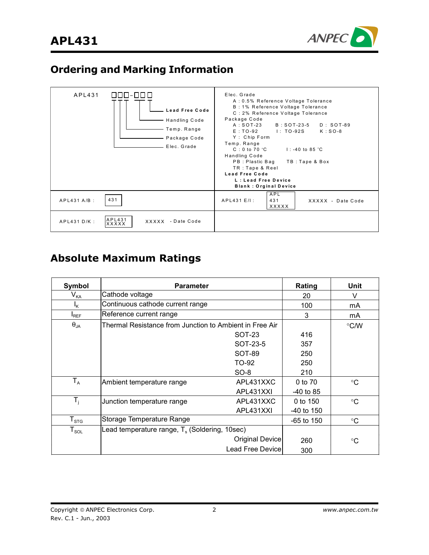

# **Ordering and Marking Information**

| APL431<br>          <u> </u><br><b>Lead Free Code</b><br><b>Handling Code</b><br>Temp. Range<br>Package Code<br>Elec. Grade | Elec. Grade<br>A: 0.5% Reference Voltage Tolerance<br>B: 1% Reference Voltage Tolerance<br>C: 2% Reference Voltage Tolerance<br>Package Code<br>$A:SOT-23$<br>B: SOT-23-5<br>$D:SOT-89$<br>$E:TO-92$<br>I: TO-92S<br>$K:SO-8$<br>Y: Chip Form<br>Temp. Range<br>$1: -40$ to 85 °C<br>$C:0$ to 70 $^{\circ}$ C<br>Handling Code<br>PB: Plastic Bag<br>TB: Tape & Box<br>TR: Tape & Reel<br><b>Lead Free Code</b><br>L: Lead Free Device<br><b>Blank: Orginal Device</b> |
|-----------------------------------------------------------------------------------------------------------------------------|------------------------------------------------------------------------------------------------------------------------------------------------------------------------------------------------------------------------------------------------------------------------------------------------------------------------------------------------------------------------------------------------------------------------------------------------------------------------|
| 431<br>$APL431A/B$ :                                                                                                        | APL<br>431<br>$APL431E/I$ :<br>XXXXX - Date Code<br>XXXXX                                                                                                                                                                                                                                                                                                                                                                                                              |
| APL431<br>APL431 D/K:<br>XXXXX - Date Code<br><b>XXXXX</b>                                                                  |                                                                                                                                                                                                                                                                                                                                                                                                                                                                        |

# **Absolute Maximum Ratings**

| Symbol              | <b>Parameter</b>                                        | Rating                  | Unit         |                 |
|---------------------|---------------------------------------------------------|-------------------------|--------------|-----------------|
| V <sub>KA</sub>     | Cathode voltage                                         | 20                      | v            |                 |
| Ιĸ                  | Continuous cathode current range                        |                         | 100          | mA              |
| $I_{REF}$           | Reference current range                                 |                         | 3            | mA              |
| $\theta_{JA}$       | Thermal Resistance from Junction to Ambient in Free Air |                         |              | $\mathrm{C}$ /W |
|                     |                                                         | SOT-23                  | 416          |                 |
|                     |                                                         | SOT-23-5                | 357          |                 |
|                     |                                                         | <b>SOT-89</b>           | 250          |                 |
|                     |                                                         | TO-92                   | 250          |                 |
|                     |                                                         | $SO-8$                  | 210          |                 |
| $T_A$               | Ambient temperature range                               | APL431XXC               | 0 to 70      | $^{\circ}C$     |
|                     |                                                         | APL431XXI               | $-40$ to 85  |                 |
| $T_i$               | Junction temperature range                              | APL431XXC               | 0 to 150     | $\rm ^{\circ}C$ |
|                     |                                                         | APL431XXI               | $-40$ to 150 |                 |
| $T_{\text{STG}}$    | Storage Temperature Range                               |                         | $-65$ to 150 | $\rm ^{\circ}C$ |
| ${\sf T}_{\sf SOL}$ | Lead temperature range, $T_s$ (Soldering, 10sec)        |                         |              |                 |
|                     |                                                         | Original Device         | 260          | $^{\circ}C$     |
|                     |                                                         | <b>Lead Free Device</b> | 300          |                 |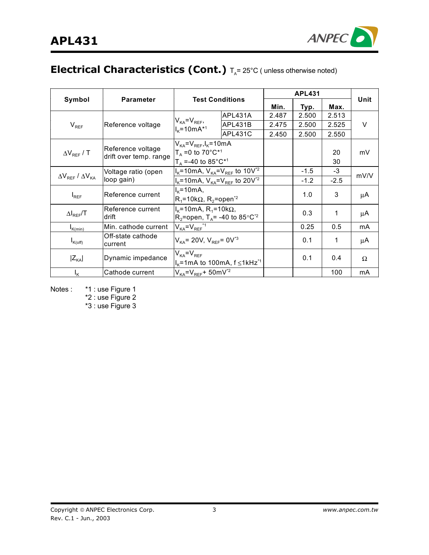

# **Electrical Characteristics (Cont.)**  $T_A = 25^{\circ}C$  ( unless otherwise noted)

|                      |                                                  |                                                                                                                 |                                               | <b>APL431</b> |        |          |      |
|----------------------|--------------------------------------------------|-----------------------------------------------------------------------------------------------------------------|-----------------------------------------------|---------------|--------|----------|------|
| Symbol               | <b>Parameter</b>                                 | <b>Test Conditions</b>                                                                                          |                                               | Min.          | Typ.   | Max.     | Unit |
|                      |                                                  |                                                                                                                 | APL431A                                       | 2.487         | 2.500  | 2.513    |      |
| $V_{REF}$            | Reference voltage                                | $V_{KA} = V_{REF}$<br>$I_{K} = 10mA^{*1}$                                                                       | APL431B                                       | 2.475         | 2.500  | 2.525    | V    |
|                      |                                                  |                                                                                                                 | APL431C                                       | 2.450         | 2.500  | 2.550    |      |
| $\Delta V_{REF}$ / T | Reference voltage<br>drift over temp. range      | $V_{KA} = V_{REF}$ , $I_{K} = 10$ m A<br>$T_A = 0$ to 70°C <sup>*1</sup><br>$T_{A} = -40$ to 85°C <sup>*1</sup> |                                               |               |        | 20<br>30 | mV   |
|                      | Voltage ratio (open                              | $I_{K}$ =10mA, $V_{KA} = V_{REF}$ to 10V <sup>*2</sup>                                                          |                                               |               | $-1.5$ | $-3$     |      |
|                      | $\Delta V_{REF}$ / $\Delta V_{KA}$<br>loop gain) |                                                                                                                 | $I_{K}$ =10mA, $V_{KA} = V_{REF}$ to 20 $V^2$ |               | $-1.2$ | $-2.5$   | mV/V |
| $I_{REF}$            | Reference current                                | $I_{\kappa}$ =10mA,<br>$R_1$ =10k $\Omega$ , R <sub>2</sub> =open <sup>*2</sup>                                 |                                               |               | 1.0    | 3        | μA   |
| $\Delta I_{REF}$ /T  | Reference current<br>drift                       | $I_k$ =10mA, R <sub>1</sub> =10kΩ,<br>$R_2$ =open, T <sub>A</sub> = -40 to 85°C <sup>*2</sup>                   |                                               |               | 0.3    | 1        | μA   |
| $I_{K(min)}$         | Min. cathode current                             | $V_{KA} = V_{REF}$ *1                                                                                           |                                               |               | 0.25   | 0.5      | mA   |
| $I_{K(off)}$         | Off-state cathode<br>current                     | $V_{KA}$ = 20V, $V_{REF}$ = 0V <sup>*3</sup>                                                                    |                                               |               | 0.1    | 1        | μA   |
| $ Z_{\text{KA}} $    | Dynamic impedance                                | $V_{KA} = V_{REF}$<br>$I_{\rm K}$ =1mA to 100mA, f $\leq$ 1kHz <sup>*1</sup>                                    |                                               |               | 0.1    | 0.4      | Ω    |
| $I_{\mathsf{K}}$     | Cathode current                                  | $V_{KA} = V_{REF} + 50$ mV <sup>*2</sup>                                                                        |                                               |               |        | 100      | mA   |

Notes : \*1 : use Figure 1 \*2 : use Figure 2

\*3 : use Figure 3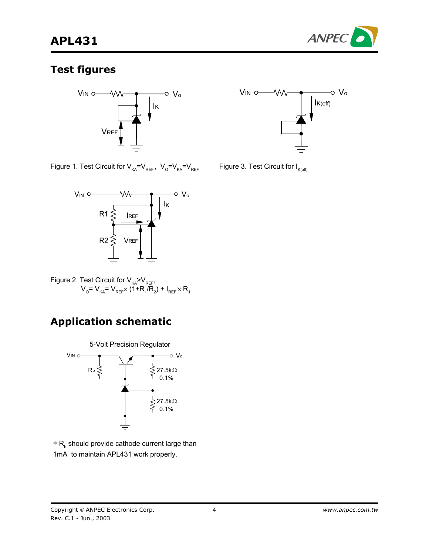

### **Test figures**





Figure 1. Test Circuit for  $V_{KA} = V_{REF}$ ,  $V_{O} = V_{KA} = V_{REF}$ 



Figure 2. Test Circuit for  $\mathsf{V}_{_{\mathsf{KA}}}\!\!\!\mathsf{>}\mathsf{V}_{_{\mathsf{REF}}}\!,$  $V_{\text{o}}$ =  $V_{\text{\tiny KA}}$ =  $V_{\text{\tiny REF}}$  $\times$  (1+R<sub>1</sub>/R<sub>2</sub>) + I<sub>REF</sub> $\times$  R<sub>1</sub>

# **Application schematic**



 $*$  R<sub>b</sub> should provide cathode current large than 1mA to maintain APL431 work properly.

Copyright © ANPEC Electronics Corp. Rev. C.1 - Jun., 2003

Figure 3. Test Circuit for  $I_{K(off)}$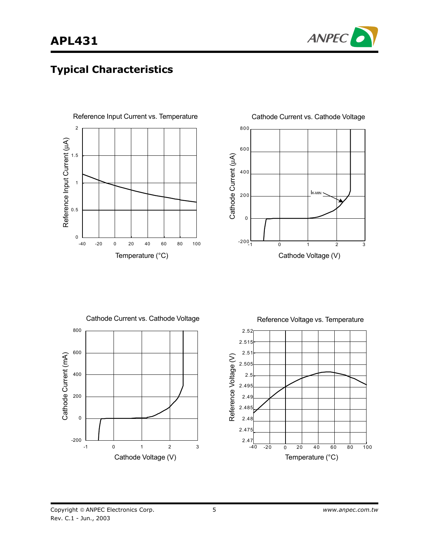

## **Typical Characteristics**





Cathode Current vs. Cathode Voltage 800 600 Cathode Current (mA) Cathode Current (mA) 400 200 0 -200 -1 0 1 2 3 Cathode Voltage (V)

Reference Voltage vs. Temperature

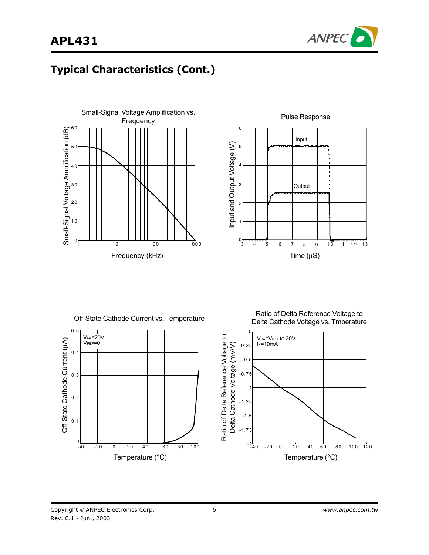



# **Typical Characteristics (Cont.)**







Ratio of Delta Reference Voltage to Delta Cathode Voltage vs. Tmperature

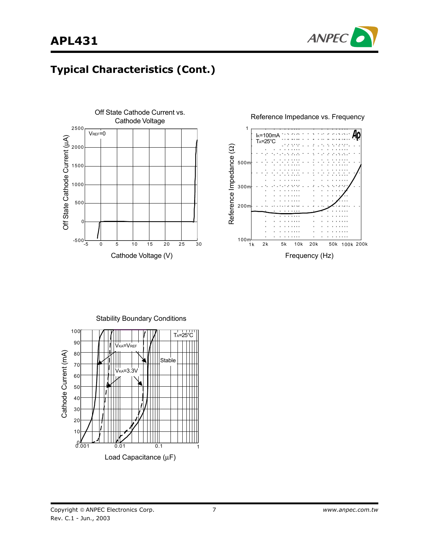



# **Typical Characteristics (Cont.)**





Stability Boundary Conditions 100 TA=25°C90 V<sub>KA</sub>=V<sub>REF</sub> Cathode Current (mA) Cathode Current (mA) 80 Stable 70 VKA=3.3V 60 50 40 30 20  $1<sub>0</sub>$  $0.001$  0.01 0.1 1 Load Capacitance (µF)

Copyright © ANPEC Electronics Corp. Rev. C.1 - Jun., 2003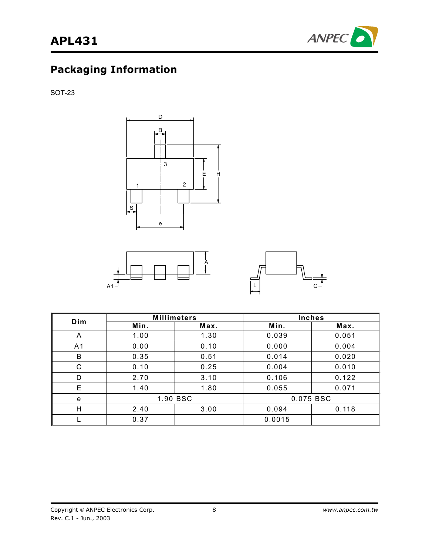

SOT-23







| Dim            | <b>Millimeters</b> |          | <b>Inches</b> |       |
|----------------|--------------------|----------|---------------|-------|
|                | Min.               | Max.     | Min.          | Max.  |
| A              | 1.00               | 1.30     | 0.039         | 0.051 |
| A <sub>1</sub> | 0.00               | 0.10     | 0.000         | 0.004 |
| B              | 0.35               | 0.51     | 0.014         | 0.020 |
| $\mathsf{C}$   | 0.10               | 0.25     | 0.004         | 0.010 |
| D              | 2.70               | 3.10     | 0.106         | 0.122 |
| E              | 1.40               | 1.80     | 0.055         | 0.071 |
| e              |                    | 1.90 BSC | 0.075 BSC     |       |
| Н              | 2.40               | 3.00     | 0.094         | 0.118 |
|                | 0.37               |          | 0.0015        |       |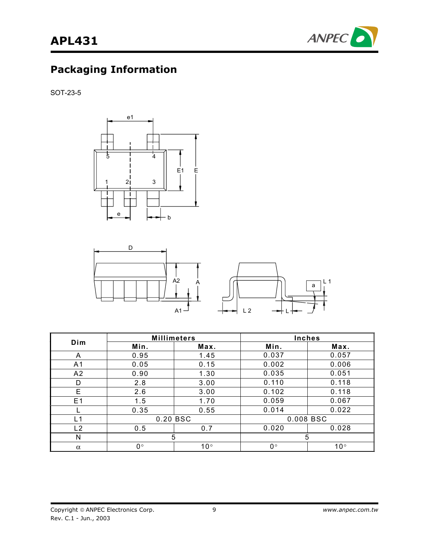

SOT-23-5





|                | <b>Millimeters</b> |              | <b>Inches</b> |              |
|----------------|--------------------|--------------|---------------|--------------|
| Dim            | Min.               | Max.         | Min.          | Max.         |
| A              | 0.95               | 1.45         | 0.037         | 0.057        |
| A <sub>1</sub> | 0.05               | 0.15         | 0.002         | 0.006        |
| A <sub>2</sub> | 0.90               | 1.30         | 0.035         | 0.051        |
| D              | 2.8                | 3.00         | 0.110         | 0.118        |
| E              | 2.6                | 3.00         | 0.102         | 0.118        |
| E <sub>1</sub> | 1.5                | 1.70         | 0.059         | 0.067        |
|                | 0.35               | 0.55         | 0.014         | 0.022        |
| L1             | 0.20 BSC           |              | 0.008 BSC     |              |
| L2             | 0.5                | 0.7          | 0.020         | 0.028        |
| N              | 5                  |              | 5             |              |
| $\alpha$       | $0^{\circ}$        | $10^{\circ}$ | $0^{\circ}$   | $10^{\circ}$ |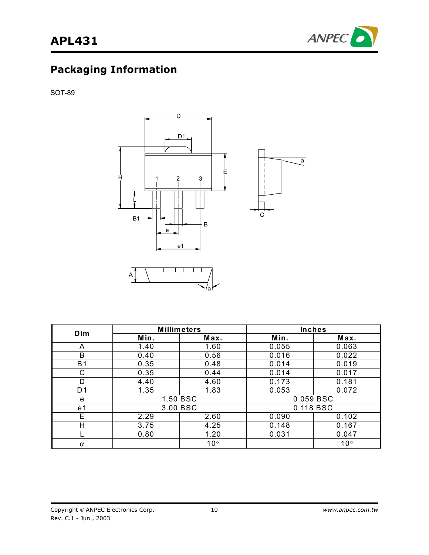



SOT-89



| Dim            | <b>Millimeters</b> |              | <b>Inches</b> |              |
|----------------|--------------------|--------------|---------------|--------------|
|                | Min.               | Max.         | Min.          | Max.         |
| A              | 1.40               | 1.60         | 0.055         | 0.063        |
| B              | 0.40               | 0.56         | 0.016         | 0.022        |
| <b>B1</b>      | 0.35               | 0.48         | 0.014         | 0.019        |
| C              | 0.35               | 0.44         | 0.014         | 0.017        |
| D              | 4.40               | 4.60         | 0.173         | 0.181        |
| D <sub>1</sub> | 1.35               | 1.83         | 0.053         | 0.072        |
| e              | 1.50 BSC           |              | 0.059 BSC     |              |
| e1             | 3.00 BSC           |              | 0.118 BSC     |              |
| Е              | 2.29               | 2.60         | 0.090         | 0.102        |
| Н              | 3.75               | 4.25         | 0.148         | 0.167        |
|                | 0.80               | 1.20         | 0.031         | 0.047        |
| $\alpha$       |                    | $10^{\circ}$ |               | $10^{\circ}$ |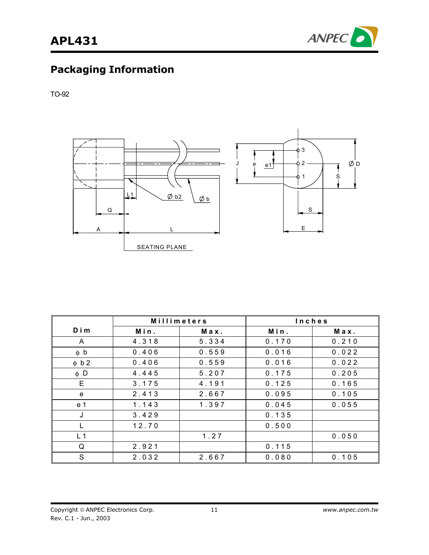

TO-92



|                | Millimeters |       | <b>Inches</b> |       |
|----------------|-------------|-------|---------------|-------|
| Dim            | Min.        | Max.  | Min.          | Max.  |
| A              | 4.318       | 5.334 | 0.170         | 0.210 |
| $\phi$ b       | 0.406       | 0.559 | 0.016         | 0.022 |
| $\phi$ b 2     | 0.406       | 0.559 | 0.016         | 0.022 |
| $\phi$ D       | 4.445       | 5.207 | 0.175         | 0.205 |
| E.             | 3.175       | 4.191 | 0.125         | 0.165 |
| e              | 2.413       | 2.667 | 0.095         | 0.105 |
| e 1            | 1.143       | 1.397 | 0.045         | 0.055 |
| J              | 3.429       |       | 0.135         |       |
|                | 12.70       |       | 0.500         |       |
| L <sub>1</sub> |             | 1.27  |               | 0.050 |
| Q              | 2.921       |       | 0.115         |       |
| S              | 2.032       | 2.667 | 0.080         | 0.105 |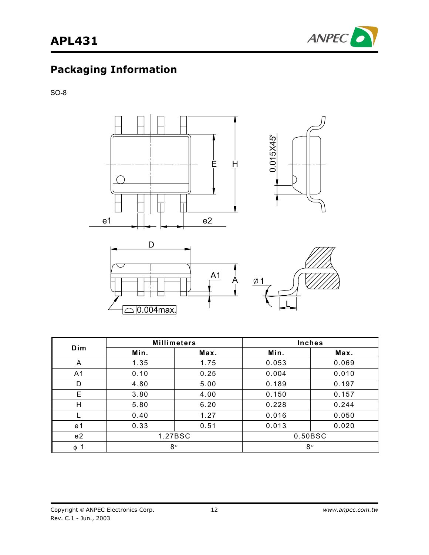

SO-8



| Dim            | <b>Millimeters</b> |         |       | <b>Inches</b> |
|----------------|--------------------|---------|-------|---------------|
|                | Min.               | Max.    | Min.  | Max.          |
| A              | 1.35               | 1.75    | 0.053 | 0.069         |
| A <sub>1</sub> | 0.10               | 0.25    | 0.004 | 0.010         |
| D              | 4.80               | 5.00    | 0.189 | 0.197         |
| E              | 3.80               | 4.00    | 0.150 | 0.157         |
| H              | 5.80               | 6.20    | 0.228 | 0.244         |
|                | 0.40               | 1.27    | 0.016 | 0.050         |
| e 1            | 0.33               | 0.51    | 0.013 | 0.020         |
| e <sub>2</sub> |                    | 1.27BSC |       | 0.50BSC       |
| $\phi$ 1       | $8^{\circ}$        |         |       | $8^{\circ}$   |

L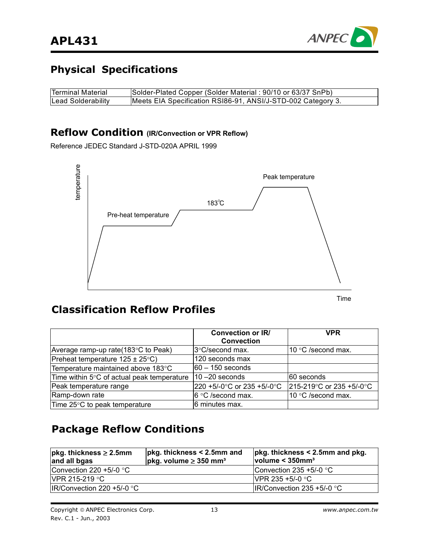

# **Physical Specifications**

| <b>Terminal Material</b> | Solder-Plated Copper (Solder Material: 90/10 or 63/37 SnPb)  |
|--------------------------|--------------------------------------------------------------|
| Lead Solderability       | Meets EIA Specification RSI86-91, ANSI/J-STD-002 Category 3. |

#### **Reflow Condition (IR/Convection or VPR Reflow)**

Reference JEDEC Standard J-STD-020A APRIL 1999



Time

## **Classification Reflow Profiles**

|                                                | <b>Convection or IR/</b><br><b>Convection</b> | VPR                         |
|------------------------------------------------|-----------------------------------------------|-----------------------------|
| Average ramp-up rate $(183^{\circ}C)$ to Peak) | 3°C/second max.                               | 10 $\degree$ C /second max. |
| Preheat temperature $125 \pm 25^{\circ}$ C)    | 120 seconds max                               |                             |
| Temperature maintained above 183°C             | 60 – 150 seconds                              |                             |
| Time within 5°C of actual peak temperature     | $10 - 20$ seconds                             | I60 seconds                 |
| Peak temperature range                         | 220 +5/-0°C or 235 +5/-0°C                    | 215-219 °C or 235 +5/-0 °C  |
| Ramp-down rate                                 | 6 °C /second max.                             | 10 °C /second max.          |
| Time 25°C to peak temperature                  | 6 minutes max.                                |                             |

## **Package Reflow Conditions**

| $pkg.$ thickness $\geq 2.5$ mm<br>and all bgas | $pkg.$ thickness $\leq$ 2.5mm and<br>$ $ pkg. volume $\geq$ 350 mm <sup>3</sup> | $pkg.$ thickness $\leq$ 2.5mm and pkg.<br>volume < 350mm <sup>3</sup> |
|------------------------------------------------|---------------------------------------------------------------------------------|-----------------------------------------------------------------------|
| Convection 220 +5/-0 $\degree$ C               |                                                                                 | Convection 235 +5/-0 $\degree$ C                                      |
| $IVPR$ 215-219 $°C$                            |                                                                                 | <b>IVPR 235 +5/-0 °C</b>                                              |
| $IR/Convection 220 +5/-0 °C$                   |                                                                                 | IR/Convection 235 +5/-0 $^{\circ}$ C                                  |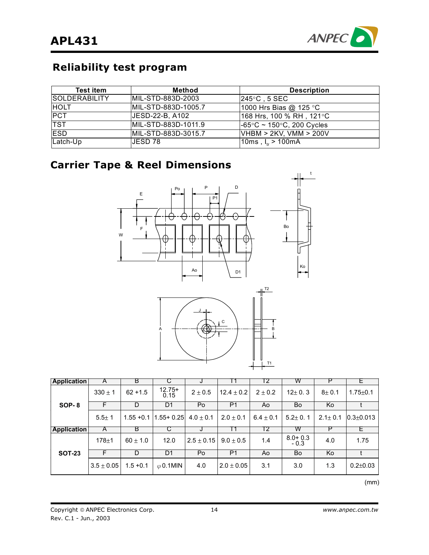

# **Reliability test program**

| <b>Test item</b>     | Method              | <b>Description</b>                             |
|----------------------|---------------------|------------------------------------------------|
| <b>SOLDERABILITY</b> | MIL-STD-883D-2003   | $245^{\circ}$ C , 5 SEC                        |
| <b>HOLT</b>          | MIL-STD-883D-1005.7 | 1000 Hrs Bias @ 125 °C                         |
| <b>PCT</b>           | JESD-22-B, A102     | 168 Hrs, 100 % RH , 121°C                      |
| <b>TST</b>           | MIL-STD-883D-1011.9 | $-65^{\circ}$ C ~ 150 $^{\circ}$ C, 200 Cycles |
| <b>ESD</b>           | MIL-STD-883D-3015.7 | VHBM > 2KV, VMM > 200V                         |
| Latch-Up             | IJESD 78.           | 10ms , $I_{tr}$ > 100mA                        |

# **Carrier Tape & Reel Dimensions**





| <b>Application</b> | A           | В            |                  | J              |                | $\mathbf{2}$  | w             | Р             |                 |
|--------------------|-------------|--------------|------------------|----------------|----------------|---------------|---------------|---------------|-----------------|
| SOP-8              | $330 \pm 1$ | $62 + 1.5$   | $12.75+$<br>0.15 | $2 \pm 0.5$    | $12.4 \pm 0.2$ | $2 \pm 0.2$   | $12 \pm 0.3$  | $8 + 0.1$     | $1.75 + 0.1$    |
|                    | F           | D            | D1               | Po             | P <sub>1</sub> | Ao            | Bo            | Ko            |                 |
|                    | $5.5 + 1$   | $1.55 + 0.1$ | $1.55 + 0.25$    | $4.0 \pm 0.1$  | $2.0 \pm 0.1$  | $6.4 \pm 0.1$ | $5.2 \pm 0.1$ | $2.1 \pm 0.1$ | $0.3 \pm 0.013$ |
| <b>Application</b> | A           | B            | С                | J              |                | T2            | w             | Р             | <b>E</b>        |
|                    |             |              |                  |                |                |               | $8.0 + 0.3$   |               |                 |
|                    | $178 + 1$   | $60 \pm 1.0$ | 12.0             | $2.5 \pm 0.15$ | $9.0 \pm 0.5$  | 1.4           | $-0.3$        | 4.0           | 1.75            |
| <b>SOT-23</b>      | F           | D            | D1               | Po             | P <sub>1</sub> | Ao            | Bo            | Ko            |                 |

 $\mathsf{m}$  ) and  $\mathsf{m}$  (mm)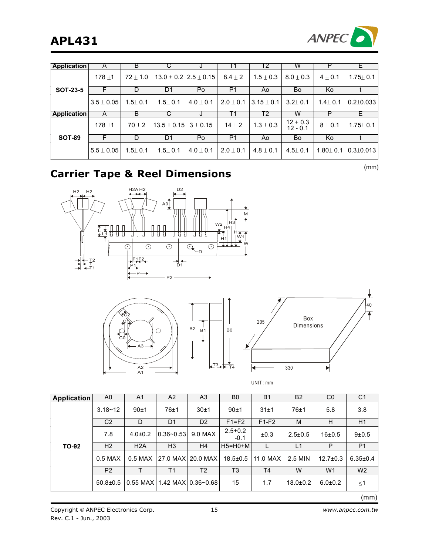

| Application        | A              | B            | C               | J                       | l 1            | Т2             | w                        | ٢            | ᄂ               |
|--------------------|----------------|--------------|-----------------|-------------------------|----------------|----------------|--------------------------|--------------|-----------------|
| <b>SOT-23-5</b>    | $178 + 1$      | $72 \pm 1.0$ |                 | $13.0 + 0.212.5 + 0.15$ | $8.4 \pm 2$    | $1.5 \pm 0.3$  | $8.0 \pm 0.3$            | $4 \pm 0.1$  | $1.75 \pm 0.1$  |
|                    | F              | D            | D1              | Po                      | P <sub>1</sub> | Ao             | Bo                       | Ko           |                 |
|                    | $3.5 \pm 0.05$ | $1.5 + 0.1$  | $1.5 \pm 0.1$   | $4.0 \pm 0.1$           | $2.0 \pm 0.1$  | $3.15 \pm 0.1$ | $3.2 \pm 0.1$            | $1.4 + 0.1$  | $0.2 + 0.033$   |
| <b>Application</b> | A              | B            | С               | J                       | Т1             | Т2             | W                        | Р            | Е.              |
| <b>SOT-89</b>      | $178 + 1$      | $70 \pm 2$   | $13.5 \pm 0.15$ | $3 \pm 0.15$            | $14 \pm 2$     | $1.3 \pm 0.3$  | $12 + 0.3$<br>$12 - 0.1$ | $8 \pm 0.1$  | $1.75 \pm 0.1$  |
|                    | F              | D            | D <sub>1</sub>  | Po                      | P <sub>1</sub> | Ao             | Bo                       | Ko           |                 |
|                    | $5.5 \pm 0.05$ | $1.5 + 0.1$  | $1.5 \pm 0.1$   | $4.0 \pm 0.1$           | $2.0 \pm 0.1$  | $4.8 \pm 0.1$  | $4.5 \pm 0.1$            | $1.80 + 0.1$ | $0.3 \pm 0.013$ |

(mm) **Carrier Tape & Reel Dimensions**

 $H2$  H2  $H2$  H2 D<sub>2</sub>  $AG \rightarrow$ M H3 W2  $\begin{array}{c}\n\uparrow \downarrow \\
\downarrow \downarrow \downarrow \\
\downarrow \downarrow \downarrow\n\end{array}$  $\Box$  $\Box$ H4 स स H ए ए ए ग ग ए ए । T H1 W1 W  $\overline{\odot}$  $\overline{\odot}$  $\overline{\odot}$  $\overline{\odot_\bullet}$  $\overline{\odot}$ D F1F2  $\frac{1}{D1}$ T2  $\frac{1}{2}$ †¯<br>T1 -F<br>P  $\overrightarrow{P}$  P2





| Application | A0             | A <sub>1</sub>   | A2                           | A <sub>3</sub> | B0                    | <b>B1</b>      | B <sub>2</sub> | C <sub>0</sub> | C <sub>1</sub> |
|-------------|----------------|------------------|------------------------------|----------------|-----------------------|----------------|----------------|----------------|----------------|
| TO-92       | $3.18 - 12$    | $90+1$           | $76 + 1$                     | $30+1$         | $90+1$                | 31±1           | 76±1           | 5.8            | 3.8            |
|             | C <sub>2</sub> | D                | D <sub>1</sub>               | D <sub>2</sub> | $F1 = F2$             | $F1-F2$        | M              | H              | H1             |
|             | 7.8            | $4.0 \pm 0.2$    | $0.36 - 0.53$                | 9.0 MAX        | $2.5 + 0.2$<br>$-0.1$ | ±0.3           | $2.5 \pm 0.5$  | 16±0.5         | $9 + 0.5$      |
|             | H <sub>2</sub> | H2A              | H <sub>3</sub>               | H4             | $H5=HO+M$             | L              | L1             | P              | P <sub>1</sub> |
|             | $0.5$ MAX      | $0.5$ MAX $\mid$ | 27.0 MAX   20.0 MAX          |                | $18.5 \pm 0.5$        | 11.0 MAX       | 2.5 MIN        | $12.7 \pm 0.3$ | $6.35 \pm 0.4$ |
|             | P <sub>2</sub> |                  | T1                           | T <sub>2</sub> | T3                    | T <sub>4</sub> | W              | W1             | W <sub>2</sub> |
|             | $50.8 \pm 0.5$ |                  | 10.55 MAX11.42 MAX10.36~0.68 |                | 15                    | 1.7            | $18.0 \pm 0.2$ | $6.0 \pm 0.2$  | $\leq$ 1       |
|             |                |                  |                              |                |                       |                |                |                | (mm)           |

B0

UNIT : mm

Copyright © ANPEC Electronics Corp. Rev. C.1 - Jun., 2003

15 *www.anpec.com.tw*